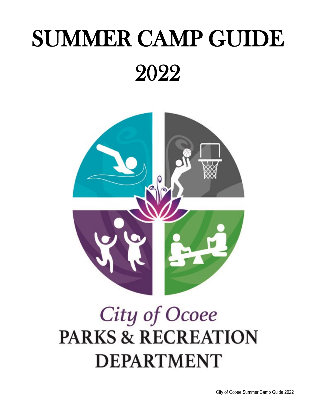# SUMMER CAMP GUIDE 2022



# City of Ocoee **PARKS & RECREATION DEPARTMENT**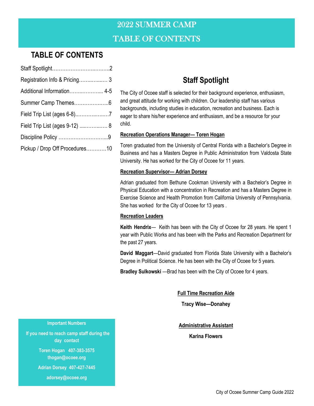## 2022 SUMMER CAMP TABLE OF CONTENTS

## **TABLE OF CONTENTS**

| Registration Info & Pricing 3  |  |
|--------------------------------|--|
| Additional Information 4-5     |  |
|                                |  |
|                                |  |
| Field Trip List (ages 9-12)  8 |  |
|                                |  |
| Pickup / Drop Off Procedures10 |  |
|                                |  |

## **Staff Spotlight**

The City of Ocoee staff is selected for their background experience, enthusiasm, and great attitude for working with children. Our leadership staff has various backgrounds, including studies in education, recreation and business. Each is eager to share his/her experience and enthusiasm, and be a resource for your child.

#### **Recreation Operations Manager— Toren Hogan**

Toren graduated from the University of Central Florida with a Bachelor's Degree in Business and has a Masters Degree in Public Administration from Valdosta State University. He has worked for the City of Ocoee for 11 years.

#### **Recreation Supervisor— Adrian Dorsey**

Adrian graduated from Bethune Cookman University with a Bachelor's Degree in Physical Education with a concentration in Recreation and has a Masters Degree in Exercise Science and Health Promotion from California University of Pennsylvania. She has worked for the City of Ocoee for 13 years .

#### **Recreation Leaders**

**Keith Hendrix**— Keith has been with the City of Ocoee for 28 years. He spent 1 year with Public Works and has been with the Parks and Recreation Department for the past 27 years.

**David Maggart**—David graduated from Florida State University with a Bachelor's Degree in Political Science. He has been with the City of Ocoee for 5 years.

**Bradley Sulkowski** —Brad has been with the City of Ocoee for 4 years.

**Full Time Recreation Aide**

**Tracy Wise—Donahey** 

**Administrative Assistant**

**Karina Flowers** 

#### **Important Numbers**

 **If you need to reach camp staff during the day contact**

> **Toren Hogan 407-383-3575 thogan@ocoee.org**

**Adrian Dorsey 407-427-7445** 

**adorsey@ocoee.org**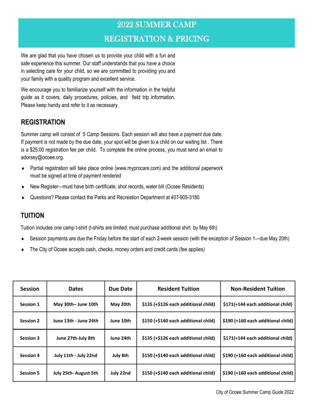## 2022 SUMMER CAMP REGISTRATION & PRICING

We are glad that you have chosen us to provide your child with a fun and safe experience this summer. Our staff understands that you have a choice in selecting care for your child, so we are committed to providing you and your family with a quality program and excellent service.

We encourage you to familiarize yourself with the information in the helpful guide as it covers, daily procedures, policies, and field trip information. Please keep handy and refer to it as necessary.

#### **REGISTRATION**

Summer camp will consist of 5 Camp Sessions. Each session will also have a payment due date. If payment is not made by the due date, your spot will be given to a child on our waiting list . There is a \$25.00 registration fee per child. To complete the online process, you must send an email to adorsey@ocoee.org.

- Partial registration will take place online (www.myprocare.com) and the additional paperwork must be signed at time of payment rendered
- New Register—must have birth certificate, shot records, water bill (Ocoee Residents)
- Questions? Please contact the Parks and Recreation Department at 407-905-3180

#### **TUITION**

Tuition includes one camp t-shirt (t-shirts are limited; must purchase additional shirt by May 6th)

- Session payments are due the Friday before the start of each 2-week session (with the exception of Session 1—due May 20th)
- The City of Ocoee accepts cash, checks, money orders and credit cards (fee applies)

| <b>Session</b>   | <b>Dates</b>                | Due Date  | <b>Resident Tuition</b>              | <b>Non-Resident Tuition</b>        |
|------------------|-----------------------------|-----------|--------------------------------------|------------------------------------|
| <b>Session 1</b> | May 30th-June 10th          | May 20th  | \$135 (+\$126 each additional child) | \$171(+144 each additional child)  |
| <b>Session 2</b> | June 13th - June 24th       | June 10th | \$150 (+\$140 each additional child) | \$190 (+160 each additional child) |
| <b>Session 3</b> | June 27th-July 8th          | June 24th | \$135 (+\$126 each additional child) | \$171(+144 each additional child)  |
| <b>Session 4</b> | July 11th - July 22nd       | July 8th  | \$150 (+\$140 each additional child) | \$190 (+160 each additional child) |
| <b>Session 5</b> | <b>July 25th-August 5th</b> | July 22nd | \$150 (+\$140 each additional child) | \$190 (+160 each additional child) |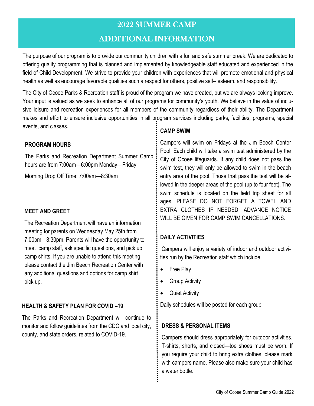#### ADDITIONAL INFORMATION

The purpose of our program is to provide our community children with a fun and safe summer break. We are dedicated to offering quality programming that is planned and implemented by knowledgeable staff educated and experienced in the field of Child Development. We strive to provide your children with experiences that will promote emotional and physical health as well as encourage favorable qualities such a respect for others, positive self– esteem, and responsibility.

The City of Ocoee Parks & Recreation staff is proud of the program we have created, but we are always looking improve. Your input is valued as we seek to enhance all of our programs for community's youth. We believe in the value of inclusive leisure and recreation experiences for all members of the community regardless of their ability. The Department makes and effort to ensure inclusive opportunities in all program services including parks, facilities, programs, special events, and classes.

#### **PROGRAM HOURS**

The Parks and Recreation Department Summer Camp hours are from 7:00am—6:00pm Monday—Friday

Morning Drop Off Time: 7:00am—8:30am

#### **MEET AND GREET**

The Recreation Department will have an information meeting for parents on Wednesday May 25th from 7:00pm—8:30pm. Parents will have the opportunity to meet camp staff, ask specific questions, and pick up camp shirts. If you are unable to attend this meeting please contact the Jim Beech Recreation Center with any additional questions and options for camp shirt pick up.

#### **HEALTH & SAFETY PLAN FOR COVID –19**

The Parks and Recreation Department will continue to monitor and follow guidelines from the CDC and local city, county, and state orders, related to COVID-19.

#### **CAMP SWIM**

Campers will swim on Fridays at the Jim Beech Center Pool. Each child will take a swim test administered by the City of Ocoee lifeguards. If any child does not pass the swim test, they will only be allowed to swim in the beach entry area of the pool. Those that pass the test will be allowed in the deeper areas of the pool (up to four feet). The swim schedule is located on the field trip sheet for all ages. PLEASE DO NOT FORGET A TOWEL AND EXTRA CLOTHES IF NEEDED. ADVANCE NOTICE WILL BE GIVEN FOR CAMP SWIM CANCELLATIONS.

#### **DAILY ACTIVITIES**

Campers will enjoy a variety of indoor and outdoor activities run by the Recreation staff which include:

- Free Play
- Group Activity
- Quiet Activity

Daily schedules will be posted for each group

#### **DRESS & PERSONAL ITEMS**

Campers should dress appropriately for outdoor activities. T-shirts, shorts, and closed—toe shoes must be worn. If you require your child to bring extra clothes, please mark with campers name. Please also make sure your child has a water bottle.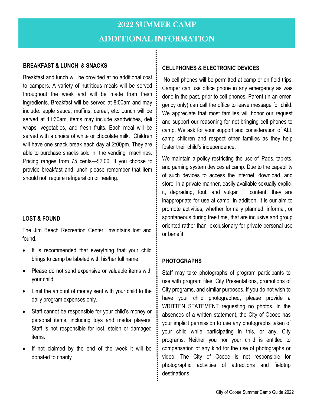#### **BREAKFAST & LUNCH & SNACKS**

Breakfast and lunch will be provided at no additional cost to campers. A variety of nutritious meals will be served throughout the week and will be made from fresh ingredients. Breakfast will be served at 8:00am and may include: apple sauce, muffins, cereal, etc. Lunch will be served at 11:30am, items may include sandwiches, deli wraps, vegetables, and fresh fruits. Each meal will be served with a choice of white or chocolate milk. Children will have one snack break each day at 2:00pm. They are able to purchase snacks sold in the vending machines. Pricing ranges from 75 cents—\$2.00. If you choose to provide breakfast and lunch please remember that item should not require refrigeration or heating.

#### **LOST & FOUND**

The Jim Beech Recreation Center maintains lost and found.

- It is recommended that everything that your child brings to camp be labeled with his/her full name.
- Please do not send expensive or valuable items with your child.
- Limit the amount of money sent with your child to the daily program expenses only.
- Staff cannot be responsible for your child's money or personal items, including toys and media players. Staff is not responsible for lost, stolen or damaged items.
- If not claimed by the end of the week it will be donated to charity

#### **CELLPHONES & ELECTRONIC DEVICES**

No cell phones will be permitted at camp or on field trips. Camper can use office phone in any emergency as was done in the past, prior to cell phones. Parent (in an emergency only) can call the office to leave message for child. We appreciate that most families will honor our request and support our reasoning for not bringing cell phones to camp. We ask for your support and consideration of ALL camp children and respect other families as they help foster their child's independence.

We maintain a policy restricting the use of iPads, tablets, and gaming system devices at camp. Due to the capability of such devices to access the internet, download, and store, in a private manner, easily available sexually explicit, degrading, foul, and vulgar content, they are inappropriate for use at camp. In addition, it is our aim to promote activities, whether formally planned, informal, or spontaneous during free time, that are inclusive and group oriented rather than exclusionary for private personal use or benefit.

#### **PHOTOGRAPHS**

Staff may take photographs of program participants to use with program files, City Presentations, promotions of City programs, and similar purposes. If you do not wish to have your child photographed, please provide a WRITTEN STATEMENT requesting no photos. In the absences of a written statement, the City of Ocoee has your implicit permission to use any photographs taken of your child while participating in this, or any, City programs. Neither you nor your child is entitled to compensation of any kind for the use of photographs or video. The City of Ocoee is not responsible for photographic activities of attractions and fieldtrip destinations.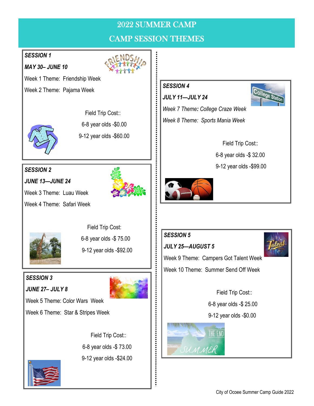## CAMP SESSION THEMES

#### *SESSION 1*

*MAY 30– JUNE 10*

Week 1 Theme: Friendship Week

Week 2 Theme: Pajama Week



Field Trip Cost::

6-8 year olds -\$0.00

9-12 year olds -\$60.00

## *SESSION 2*

*JUNE 13—JUNE 24*



Week 3 Theme: Luau Week

Week 4 Theme: Safari Week



 Field Trip Cost: 6-8 year olds -\$ 75.00 9-12 year olds -\$92.00

#### *SESSION 3*

*JUNE 27– JULY 8*



Week 5 Theme: Color Wars Week Week 6 Theme: Star & Stripes Week

> Field Trip Cost:: 6-8 year olds -\$ 73.00 9-12 year olds -\$24.00



#### *SESSION 4*

*JULY 11—JULY 24*



*Week 7 Theme: College Craze Week Week 8 Theme: Sports Mania Week* 

> Field Trip Cost:: 6-8 year olds -\$ 32.00 9-12 year olds -\$99.00



#### *SESSION 5*

*JULY 25—AUGUST 5*



Week 9 Theme: Campers Got Talent Week Week 10 Theme: Summer Send Off Week

> Field Trip Cost:: 6-8 year olds -\$ 25.00 9-12 year olds -\$0.00

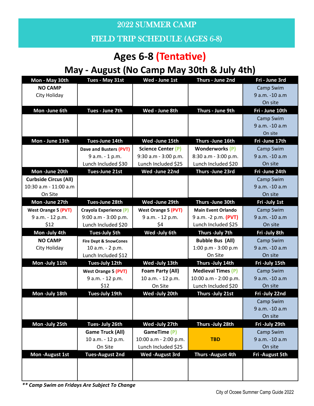FIELD TRIP SCHEDULE (AGES 6-8)

## **Ages 6-8 (Tentative)**

## **May - August (No Camp May 30th & July 4th)**

| Mon - May 30th               | Tues - May 31st                  | Wed - June 1st             | Thurs - June 2nd          | Fri - June 3rd  |
|------------------------------|----------------------------------|----------------------------|---------------------------|-----------------|
| <b>NO CAMP</b>               |                                  |                            |                           | Camp Swim       |
| City Holiday                 |                                  |                            |                           | 9 a.m. -10 a.m  |
|                              |                                  |                            |                           | On site         |
| Mon-June 6th                 | Tues - June 7th                  | Wed - June 8th             | Thurs - June 9th          | Fri - June 10th |
|                              |                                  |                            |                           | Camp Swim       |
|                              |                                  |                            |                           | 9 a.m. -10 a.m  |
|                              |                                  |                            |                           | On site         |
| Mon - June 13th              | Tues-June 14th                   | Wed-June 15th              | Thurs-June 16th           | Fri-June 17th   |
|                              | Dave and Busters (PVT)           | <b>Science Center (P)</b>  | <b>Wonderworks</b> (P)    | Camp Swim       |
|                              | 9 a.m. - 1 p.m.                  | 9:30 a.m - 3:00 p.m.       | 8:30 a.m - 3:00 p.m.      | 9 a.m. -10 a.m  |
|                              | Lunch Included \$30              | Lunch Included \$25        | Lunch Included \$20       | On site         |
| Mon-June 20th                | <b>Tues-June 21st</b>            | Wed-June 22nd              | Thurs-June 23rd           | Fri-June 24th   |
| <b>Curbside Circus (All)</b> |                                  |                            |                           | Camp Swim       |
| 10:30 a.m - 11:00 a.m        |                                  |                            |                           | 9 a.m. -10 a.m  |
| On Site                      |                                  |                            |                           | On site         |
| Mon-June 27th                | Tues-June 28th                   | Wed-June 29th              | Thurs-June 30th           | Fri-July 1st    |
| <b>West Orange 5 (PVT)</b>   | Crayola Experience (P)           | <b>West Orange 5 (PVT)</b> | <b>Main Event Orlando</b> | Camp Swim       |
| 9 a.m. - 12 p.m.             | 9:00 a.m - 3:00 p.m.             | 9 a.m. - 12 p.m.           | 9 a.m. -2 p.m. (PVT)      | 9 a.m. -10 a.m  |
| \$12                         | Lunch Included \$20              | \$4                        | Lunch Included \$25       | On site         |
| Mon-July 4th                 | <b>Tues-July 5th</b>             | Wed -July 6th              | Thurs -July 7th           | Fri-July 8th    |
| <b>NO CAMP</b>               | <b>Fire Dept &amp; SnowCones</b> |                            | <b>Bubble Bus (All)</b>   | Camp Swim       |
| City Holiday                 | 10 a.m. - 2 p.m.                 |                            | 1:00 p.m - $3:00$ p.m     | 9 a.m. -10 a.m  |
|                              | Lunch Included \$12              |                            | On Site                   | On site         |
| Mon-July 11th                | Tues-July 12th                   | Wed-July 13th              | Thurs - July 14th         | Fri-July 15th   |
|                              | <b>West Orange 5 (PVT)</b>       | Foam Party (All)           | <b>Medieval Times (P)</b> | Camp Swim       |
|                              | 9 a.m. - 12 p.m.                 | 10 a.m. - 12 p.m.          | 10:00 a.m - 2:00 p.m.     | 9 a.m. -10 a.m  |
|                              | \$12                             | On Site                    | Lunch Included \$20       | On site         |
| Mon -July 18th               | <b>Tues-July 19th</b>            | Wed-July 20th              | Thurs - July 21st         | Fri-July 22nd   |
|                              |                                  |                            |                           | Camp Swim       |
|                              |                                  |                            |                           | 9 a.m. -10 a.m  |
|                              |                                  |                            |                           | On site         |
| Mon-July 25th                | Tues- July 26th                  | Wed-July 27th              | Thurs - July 28th         | Fri-July 29th   |
|                              | <b>Game Truck (All)</b>          | GameTime (P)               |                           | Camp Swim       |
|                              | 10 a.m. - 12 p.m.                | 10:00 a.m - 2:00 p.m.      | <b>TBD</b>                | 9 a.m. -10 a.m  |
|                              | On Site                          | Lunch Included \$25        |                           | On site         |
| Mon - August 1st             | <b>Tues-August 2nd</b>           | <b>Wed-August 3rd</b>      | Thurs - August 4th        | Fri-August 5th  |
|                              |                                  |                            |                           |                 |
|                              |                                  |                            |                           |                 |
|                              |                                  |                            |                           |                 |

*\*\* Camp Swim on Fridays Are Subject To Change*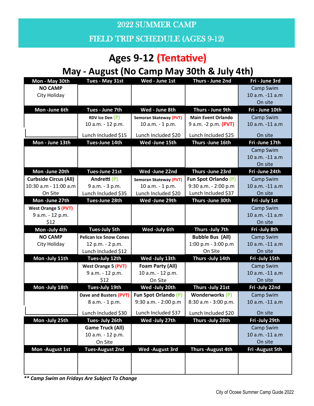FIELD TRIP SCHEDULE (AGES 9-12)

## **Ages 9-12 (Tentative)**

## **May - August (No Camp May 30th & July 4th)**

| Mon - May 30th               | Tues - May 31st               | Wed - June 1st         | Thurs - June 2nd            | Fri - June 3rd  |
|------------------------------|-------------------------------|------------------------|-----------------------------|-----------------|
| <b>NO CAMP</b>               |                               |                        |                             | Camp Swim       |
| City Holiday                 |                               |                        |                             | 10 a.m. -11 a.m |
|                              |                               |                        |                             | On site         |
| Mon-June 6th                 | Tues - June 7th               | Wed - June 8th         | Thurs - June 9th            | Fri - June 10th |
|                              | RDV Ice Den (P)               | Semoran Skateway (PVT) | <b>Main Event Orlando</b>   | Camp Swim       |
|                              | 10 a.m. - 12 p.m.             | 10 a.m. - 1 p.m.       | 9 a.m. -2 p.m. (PVT)        | 10 a.m. -11 a.m |
|                              | Lunch Included \$15           | Lunch Included \$20    | Lunch Included \$25         | On site         |
| Mon - June 13th              | Tues-June 14th                | Wed-June 15th          | Thurs-June 16th             | Fri-June 17th   |
|                              |                               |                        |                             | Camp Swim       |
|                              |                               |                        |                             | 10 a.m. -11 a.m |
|                              |                               |                        |                             | On site         |
| Mon -June 20th               | Tues-June 21st                | Wed-June 22nd          | Thurs-June 23rd             | Fri-June 24th   |
| <b>Curbside Circus (All)</b> | Andretti (P)                  | Semoran Skateway (PVT) | <b>Fun Spot Orlando (P)</b> | Camp Swim       |
| 10:30 a.m - 11:00 a.m        | 9 a.m. - 3 p.m.               | 10 a.m. - 1 p.m.       | 9:30 a.m. - 2:00 p.m        | 10 a.m. -11 a.m |
| On Site                      | Lunch Included \$35           | Lunch Included \$20    | Lunch Included \$37         | On site         |
| Mon-June 27th                | Tues-June 28th                | Wed-June 29th          | Thurs-June 30th             | Fri-July 1st    |
| <b>West Orange 5 (PVT)</b>   |                               |                        |                             | Camp Swim       |
| 9 a.m. - 12 p.m.             |                               |                        |                             | 10 a.m. -11 a.m |
| \$12                         |                               |                        |                             | On site         |
| Mon-July 4th                 | <b>Tues-July 5th</b>          | Wed -July 6th          | Thurs - July 7th            | Fri-July 8th    |
| <b>NO CAMP</b>               | <b>Pelican Ice Snow Cones</b> |                        | <b>Bubble Bus (All)</b>     | Camp Swim       |
| City Holiday                 | 12 p.m. - 2 p.m.              |                        | 1:00 p.m - 3:00 p.m         | 10 a.m. -11 a.m |
|                              | Lunch Included \$12           |                        | On Site                     | On site         |
| Mon-July 11th                | Tues-July 12th                | Wed-July 13th          | Thurs -July 14th            | Fri-July 15th   |
|                              | <b>West Orange 5 (PVT)</b>    | Foam Party (All)       |                             | Camp Swim       |
|                              | 9 a.m. - 12 p.m.              | 10 a.m. - 12 p.m.      |                             | 10 a.m. -11 a.m |
|                              | \$12                          | On Site                |                             | On site         |
| Mon-July 18th                | Tues-July 19th                | Wed-July 20th          | Thurs - July 21st           | Fri-July 22nd   |
|                              | Dave and Busters (PVT)        | Fun Spot Orlando (P)   | <b>Wonderworks (P)</b>      | Camp Swim       |
|                              | 8 a.m. - 1 p.m.               | 9:30 a.m. - 2:00 p.m   | 8:30 a.m - 3:00 p.m.        | 10 a.m. -11 a.m |
|                              | Lunch Included \$30           | Lunch Included \$37    | Lunch Included \$20         | On site         |
| Mon-July 25th                | Tues- July 26th               | Wed-July 27th          | Thurs -July 28th            | Fri-July 29th   |
|                              | <b>Game Truck (All)</b>       |                        |                             | Camp Swim       |
|                              | 10 a.m. - 12 p.m.             |                        |                             | 10 a.m. -11 a.m |
|                              | On Site                       |                        |                             | On site         |
| Mon-August 1st               | <b>Tues-August 2nd</b>        | Wed-August 3rd         | Thurs-August 4th            | Fri-August 5th  |
|                              |                               |                        |                             |                 |
|                              |                               |                        |                             |                 |
|                              |                               |                        |                             |                 |

*\*\* Camp Swim on Fridays Are Subject To Change*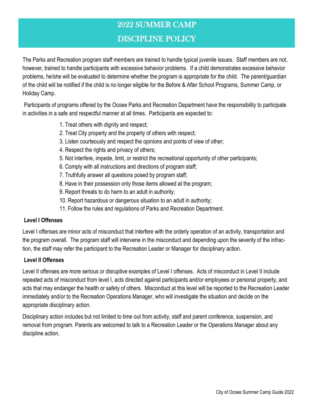#### DISCIPLINE POLICY

The Parks and Recreation program staff members are trained to handle typical juvenile issues. Staff members are not, however, trained to handle participants with excessive behavior problems. If a child demonstrates excessive behavior problems, he/she will be evaluated to determine whether the program is appropriate for the child. The parent/guardian of the child will be notified if the child is no longer eligible for the Before & After School Programs, Summer Camp, or Holiday Camp.

Participants of programs offered by the Ocoee Parks and Recreation Department have the responsibility to participate in activities in a safe and respectful manner at all times. Participants are expected to:

- 1. Treat others with dignity and respect;
- 2. Treat City property and the property of others with respect;
- 3. Listen courteously and respect the opinions and points of view of other;
- 4. Respect the rights and privacy of others;
- 5. Not interfere, impede, limit, or restrict the recreational opportunity of other participants;
- 6. Comply with all instructions and directions of program staff;
- 7. Truthfully answer all questions posed by program staff;
- 8. Have in their possession only those items allowed at the program;
- 9. Report threats to do harm to an adult in authority;
- 10. Report hazardous or dangerous situation to an adult in authority;
- 11. Follow the rules and regulations of Parks and Recreation Department.

#### **Level I Offenses**

Level I offenses are minor acts of misconduct that interfere with the orderly operation of an activity, transportation and the program overall. The program staff will intervene in the misconduct and depending upon the severity of the infraction, the staff may refer the participant to the Recreation Leader or Manager for disciplinary action.

#### **Level II Offenses**

Level II offenses are more serious or disruptive examples of Level I offenses. Acts of misconduct in Level II include repeated acts of misconduct from level I, acts directed against participants and/or employees or personal property, and acts that may endanger the health or safety of others. Misconduct at this level will be reported to the Recreation Leader immediately and/or to the Recreation Operations Manager, who will investigate the situation and decide on the appropriate disciplinary action.

Disciplinary action includes but not limited to time out from activity, staff and parent conference, suspension, and removal from program. Parents are welcomed to talk to a Recreation Leader or the Operations Manager about any discipline action.